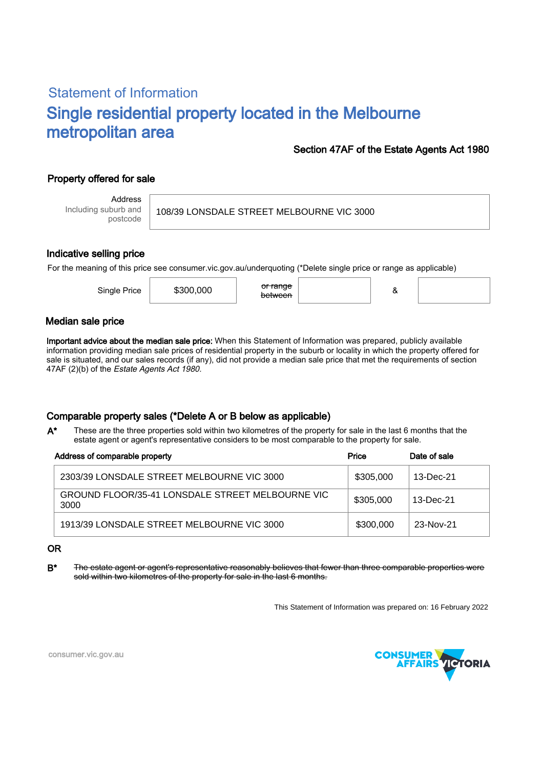# Statement of Information Single residential property located in the Melbourne metropolitan area

### Section 47AF of the Estate Agents Act 1980

## Property offered for sale

Address Including suburb and postcode

108/39 LONSDALE STREET MELBOURNE VIC 3000

#### Indicative selling price

For the meaning of this price see consumer.vic.gov.au/underquoting (\*Delete single price or range as applicable)

| Single Price | \$300,000 | <del>or range</del><br><del>between</del> |  | Ο |  |
|--------------|-----------|-------------------------------------------|--|---|--|
|--------------|-----------|-------------------------------------------|--|---|--|

#### Median sale price

Important advice about the median sale price: When this Statement of Information was prepared, publicly available information providing median sale prices of residential property in the suburb or locality in which the property offered for sale is situated, and our sales records (if any), did not provide a median sale price that met the requirements of section 47AF (2)(b) of the Estate Agents Act 1980.

### Comparable property sales (\*Delete A or B below as applicable)

These are the three properties sold within two kilometres of the property for sale in the last 6 months that the estate agent or agent's representative considers to be most comparable to the property for sale. A\*

| Address of comparable property                           | Price     | Date of sale |  |
|----------------------------------------------------------|-----------|--------------|--|
| 2303/39 LONSDALE STREET MELBOURNE VIC 3000               | \$305,000 | 13-Dec-21    |  |
| GROUND FLOOR/35-41 LONSDALE STREET MELBOURNE VIC<br>3000 | \$305,000 | 13-Dec-21    |  |
| 1913/39 LONSDALE STREET MELBOURNE VIC 3000               | \$300,000 | 23-Nov-21    |  |

#### OR

B<sup>\*</sup> The estate agent or agent's representative reasonably believes that fewer than three comparable properties were sold within two kilometres of the property for sale in the last 6 months.

This Statement of Information was prepared on: 16 February 2022



consumer.vic.gov.au